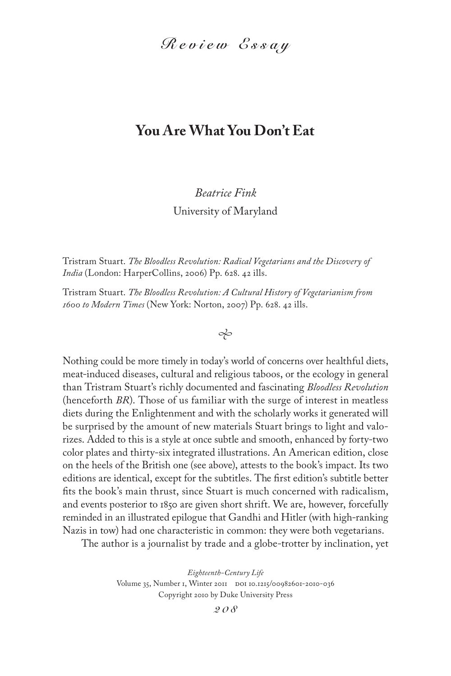*Review Essay*

## **You Are What You Don't Eat**

## *Beatrice Fink* University of Maryland

Tristram Stuart. *The Bloodless Revolution: Radical Vegetarians and the Discovery of India* (London: HarperCollins, 2006) Pp. 628. 42 ills.

Tristram Stuart. *The Bloodless Revolution: A Cultural History of Vegetarianism from 1600 to Modern Times* (New York: Norton, 2007) Pp. 628. 42 ills.

 $\infty$ 

Nothing could be more timely in today's world of concerns over healthful diets, meat-induced diseases, cultural and religious taboos, or the ecology in general than Tristram Stuart's richly documented and fascinating *Bloodless Revolution*  (henceforth *BR*). Those of us familiar with the surge of interest in meatless diets during the Enlightenment and with the scholarly works it generated will be surprised by the amount of new materials Stuart brings to light and valorizes. Added to this is a style at once subtle and smooth, enhanced by forty-two color plates and thirty-six integrated illustrations. An American edition, close on the heels of the British one (see above), attests to the book's impact. Its two editions are identical, except for the subtitles. The first edition's subtitle better fits the book's main thrust, since Stuart is much concerned with radicalism, and events posterior to 1850 are given short shrift. We are, however, forcefully reminded in an illustrated epilogue that Gandhi and Hitler (with high-ranking Nazis in tow) had one characteristic in common: they were both vegetarians.

The author is a journalist by trade and a globe-trotter by inclination, yet

*Eighteenth-Century Life* Volume 35, Number 1, Winter 2011 DOI 10.1215/00982601-2010-036 Copyright 2010 by Duke University Press

*208*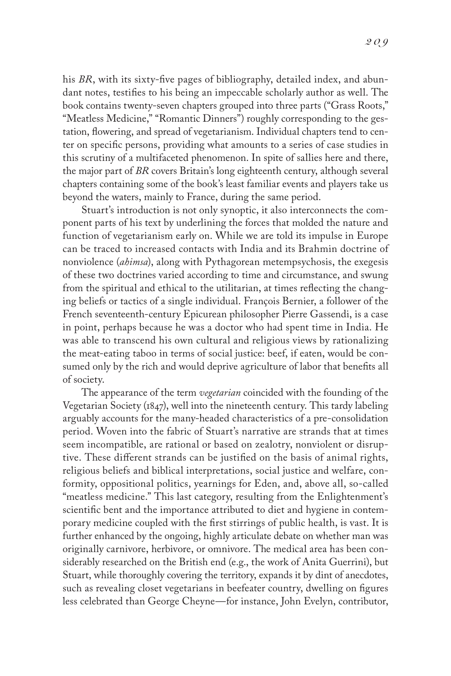his *BR*, with its sixty-five pages of bibliography, detailed index, and abundant notes, testifies to his being an impeccable scholarly author as well. The book contains twenty-seven chapters grouped into three parts ("Grass Roots," "Meatless Medicine," "Romantic Dinners") roughly corresponding to the gestation, flowering, and spread of vegetarianism. Individual chapters tend to center on specific persons, providing what amounts to a series of case studies in this scrutiny of a multifaceted phenomenon. In spite of sallies here and there, the major part of *BR* covers Britain's long eighteenth century, although several chapters containing some of the book's least familiar events and players take us beyond the waters, mainly to France, during the same period.

Stuart's introduction is not only synoptic, it also interconnects the component parts of his text by underlining the forces that molded the nature and function of vegetarianism early on. While we are told its impulse in Europe can be traced to increased contacts with India and its Brahmin doctrine of nonviolence (*ahimsa*), along with Pythagorean metempsychosis, the exegesis of these two doctrines varied according to time and circumstance, and swung from the spiritual and ethical to the utilitarian, at times reflecting the changing beliefs or tactics of a single individual. François Bernier, a follower of the French seventeenth-century Epicurean philosopher Pierre Gassendi, is a case in point, perhaps because he was a doctor who had spent time in India. He was able to transcend his own cultural and religious views by rationalizing the meat-eating taboo in terms of social justice: beef, if eaten, would be consumed only by the rich and would deprive agriculture of labor that benefits all of society.

The appearance of the term *vegetarian* coincided with the founding of the Vegetarian Society (1847), well into the nineteenth century. This tardy labeling arguably accounts for the many-headed characteristics of a pre-consolidation period. Woven into the fabric of Stuart's narrative are strands that at times seem incompatible, are rational or based on zealotry, nonviolent or disruptive. These different strands can be justified on the basis of animal rights, religious beliefs and biblical interpretations, social justice and welfare, conformity, oppositional politics, yearnings for Eden, and, above all, so-called "meatless medicine." This last category, resulting from the Enlightenment's scientific bent and the importance attributed to diet and hygiene in contemporary medicine coupled with the first stirrings of public health, is vast. It is further enhanced by the ongoing, highly articulate debate on whether man was originally carnivore, herbivore, or omnivore. The medical area has been considerably researched on the British end (e.g., the work of Anita Guerrini), but Stuart, while thoroughly covering the territory, expands it by dint of anecdotes, such as revealing closet vegetarians in beefeater country, dwelling on figures less celebrated than George Cheyne—for instance, John Evelyn, contributor,